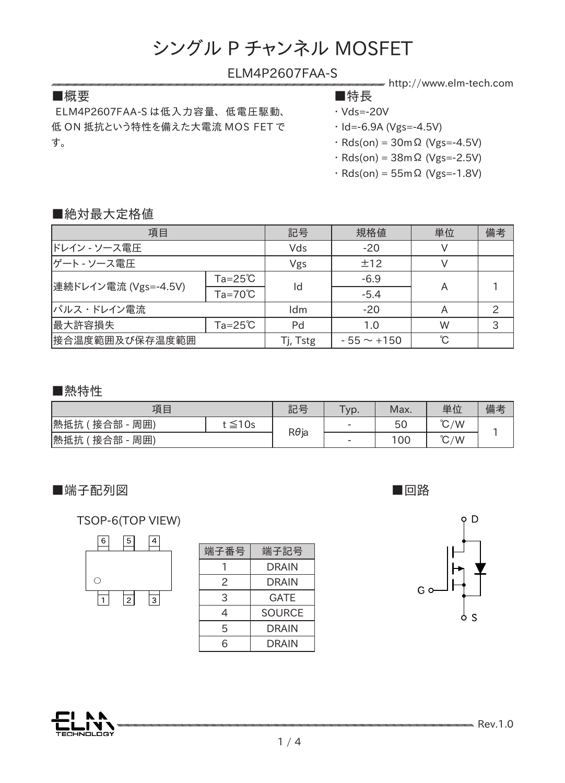#### ELM4P2607FAA-S

#### ■概要 ■特長

ELM4P2607FAA-S は低入力容量、 低電圧駆動、 低 ON 抵抗という特性を備えた大電流 MOS FET で す。

- http://www.elm-tech.com
- ・ Vds=-20V
	-
- $\cdot$  Id=-6.9A (Vgs=-4.5V)
- $\cdot$  Rds(on) = 30m $\Omega$  (Vgs=-4.5V)
- ・ Rds(on) = 38mΩ (Vgs=-2.5V)
- ・ Rds(on) = 55mΩ (Vgs=-1.8V)

#### ■絶対最大定格値

| 項目                   |                           | 記号       | 規格値             | 単位 | 備考 |
|----------------------|---------------------------|----------|-----------------|----|----|
| ドレイン - ソース電圧         |                           | Vds      | $-20$           |    |    |
| ゲート - ソース電圧          |                           | Vgs      | ±12             |    |    |
| 連続ドレイン電流 (Vgs=-4.5V) | $Ta = 25^{\circ}C$        |          | $-6.9$          |    |    |
|                      | $Ta = 70^{\circ}C$        | Id       | $-5.4$          | A  |    |
| パルス・ドレイン電流           |                           | Idm      | $-20$           |    |    |
| 最大許容損失               | $Ta = 25^{\circ}\text{C}$ | Pd       | 1.0             | W  | 3  |
| 接合温度範囲及び保存温度範囲       |                           | Tj, Tstg | $-55 \sim +150$ | °C |    |

#### ■熱特性

| 項目                |        | 記号           | Typ.                     | Max. | 単位            | 備考 |
|-------------------|--------|--------------|--------------------------|------|---------------|----|
| 熱抵抗<br>接合部<br>周囲) | t ≦10s | $R\theta$ ja | $\overline{\phantom{0}}$ | 50   | $\degree$ C/W |    |
| 熱抵抗<br>接合部<br>周囲) |        |              | $\overline{\phantom{0}}$ | 100  | $\degree$ C/W |    |

■端子配列図

■回路



TSOP-6(TOP VIEW)



| 端子番号 | 端子記号          |  |  |  |
|------|---------------|--|--|--|
|      | DRAIN         |  |  |  |
| 2    | DRAIN         |  |  |  |
| 3    | <b>GATE</b>   |  |  |  |
| 4    | <b>SOURCE</b> |  |  |  |
| 5    | <b>DRAIN</b>  |  |  |  |
| 6    | DRAIN         |  |  |  |
|      |               |  |  |  |

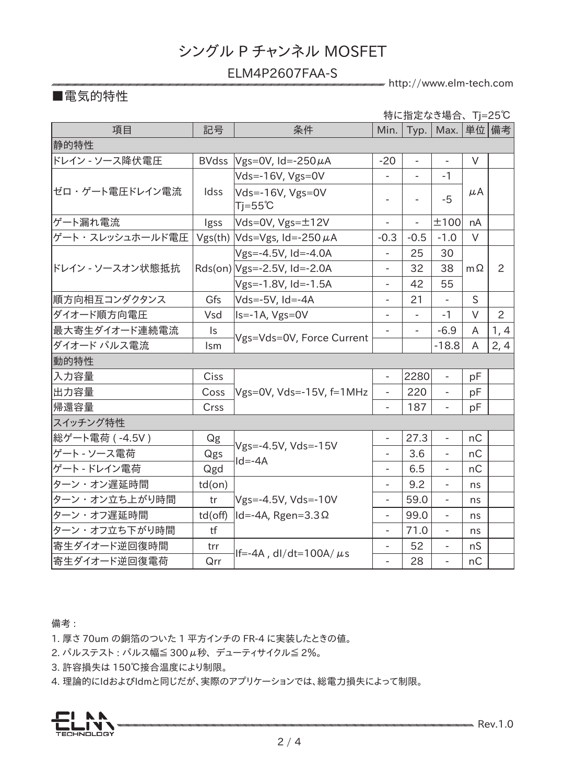#### ELM4P2607FAA-S

http://www.elm-tech.com

### ■電気的特性

|                  |                |                                        |                          |                | 特に指定なき場合、Tj=25℃          |           |      |  |
|------------------|----------------|----------------------------------------|--------------------------|----------------|--------------------------|-----------|------|--|
| 項目               | 記号             | 条件                                     | Min.                     |                | Typ.   Max.   単位   備考    |           |      |  |
| 静的特性             |                |                                        |                          |                |                          |           |      |  |
| ドレイン - ソース降伏電圧   | <b>BVdss</b>   | $V$ gs=0V, Id=-250 $\mu$ A             | $-20$                    | $\blacksquare$ | $\overline{\phantom{a}}$ | V         |      |  |
|                  | Idss           | $Vds = -16V$ , $Vgs = 0V$              |                          |                | $-1$                     |           |      |  |
| ゼロ・ゲート電圧ドレイン電流   |                | Vds=-16V, Vgs=0V<br>$Tj = 55^{\circ}C$ | $\overline{\phantom{a}}$ |                | $-5$                     | $\mu$ A   |      |  |
| ゲート漏れ電流          | Igss           | Vds=0V, $Vgs = ±12V$                   | $\blacksquare$           | $\blacksquare$ | ±100                     | nA        |      |  |
| ゲート・スレッシュホールド電圧  |                | Vgs(th) $Vds=Vgs$ , Id=-250 $\mu$ A    | $-0.3$                   | $-0.5$         | $-1.0$                   | $\vee$    |      |  |
| ドレイン - ソースオン状態抵抗 |                | Vgs=-4.5V, Id=-4.0A                    | $\blacksquare$           | 25             | 30                       |           |      |  |
|                  |                | $Rds(on) Vgs=-2.5V, Id=-2.0A$          | $\overline{a}$           | 32             | 38                       | $m\Omega$ | 2    |  |
|                  |                | Vgs=-1.8V, Id=-1.5A                    | $\overline{a}$           | 42             | 55                       |           |      |  |
| 順方向相互コンダクタンス     | Gfs            | Vds=-5V, Id=-4A                        | $\overline{\phantom{a}}$ | 21             |                          | S         |      |  |
| ダイオード順方向電圧       | Vsd            | Is=-1A, Vgs=0V                         | $\overline{\phantom{a}}$ | $\blacksquare$ | $-1$                     | $\vee$    | 2    |  |
| 最大寄生ダイオード連続電流    | $\mathsf{I}$ s |                                        |                          |                | $-6.9$                   | A         | 1, 4 |  |
| ダイオード パルス電流      | Ism            | Vgs=Vds=0V, Force Current              |                          |                | $-18.8$                  | A         | 2, 4 |  |
| <b> 動的特性</b>     |                |                                        |                          |                |                          |           |      |  |
| 入力容量             | Ciss           |                                        | $\frac{1}{2}$            | 2280           | $\blacksquare$           | pF        |      |  |
| 出力容量             | Coss           | Vgs=0V, Vds=-15V, f=1MHz               | $\frac{1}{2}$            | 220            |                          | pF        |      |  |
| 帰還容量             | Crss           |                                        | $\blacksquare$           | 187            | $\equiv$                 | pF        |      |  |
| スイッチング特性         |                |                                        |                          |                |                          |           |      |  |
| 総ゲート電荷 (-4.5V)   | Qg             |                                        | $\overline{a}$           | 27.3           | $\blacksquare$           | nC        |      |  |
| ゲート - ソース電荷      | Qgs            | Vgs=-4.5V, Vds=-15V<br>$Id = -4A$      | $\overline{\phantom{0}}$ | 3.6            |                          | nC        |      |  |
| ゲート - ドレイン電荷     | Qgd            |                                        | $\overline{\phantom{0}}$ | 6.5            | $\overline{\phantom{a}}$ | nC        |      |  |
| ターン・オン遅延時間       | $td($ on $)$   |                                        | $\overline{\phantom{0}}$ | 9.2            |                          | ns        |      |  |
| ターン・オン立ち上がり時間    | tr             | Vgs=-4.5V, Vds=-10V                    | $\overline{a}$           | 59.0           | $\equiv$                 | ns        |      |  |
| ターン・オフ遅延時間       | td(off)        | $ Id = -4A$ , Rgen=3.3 $\Omega$        | $\overline{\phantom{a}}$ | 99.0           | $\overline{\phantom{0}}$ | ns        |      |  |
| ターン・オフ立ち下がり時間    | tf             |                                        | $\overline{\phantom{a}}$ | 71.0           | $\overline{\phantom{a}}$ | ns        |      |  |
| 寄生ダイオード逆回復時間     | trr            |                                        | $\overline{\phantom{0}}$ | 52             | $\overline{\phantom{0}}$ | nS        |      |  |
| 寄生ダイオード逆回復電荷     | Qrr            | If=-4A, $dl/dt=100A/\mu s$             | $\overline{a}$           | 28             | $\equiv$                 | nC        |      |  |

備考 :

1. 厚さ 70um の銅箔のついた 1 平方インチの FR-4 に実装したときの値。

2. パルステスト: パルス幅≦ 300μ秒、デューティサイクル≦ 2%。

3. 許容損失は 150℃接合温度により制限。

4. 理論的にIdおよびIdmと同じだが、実際のアプリケーションでは、総電力損失によって制限。

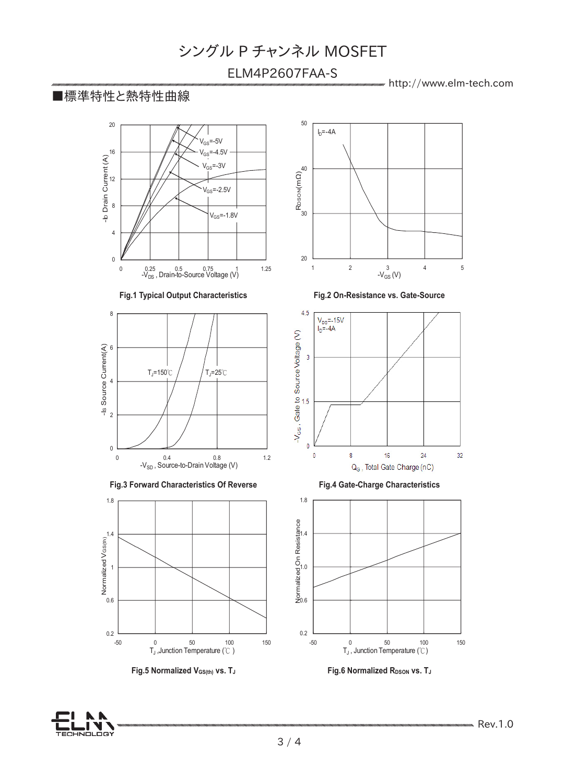#### ELM4P2607FAA-S

50

http://www.elm-tech.com **P-Ch 20V Fast Switching MOSFETs**

#### ■標準特性と熱特性曲線











**Fig.5 Normalized V<sub>GS(th)</sub> vs. T<sub>J</sub> <b>Fig.6 Properties Fig.6 Normalized RDSON** vs. T<sub>J</sub>